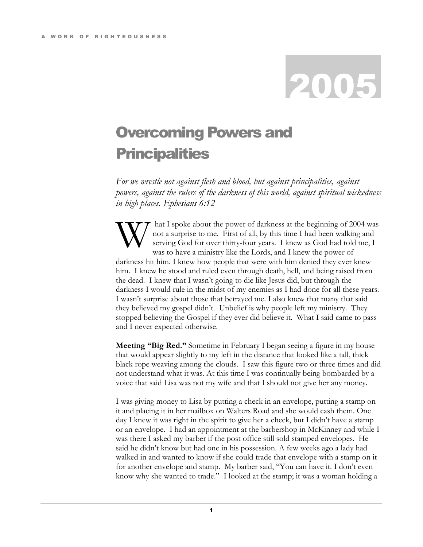## 2005

## Overcoming Powers and **Principalities**

For we wrestle not against flesh and blood, but against principalities, against powers, against the rulers of the darkness of this world, against spiritual wickedness in high places. Ephesians 6:12

 hat I spoke about the power of darkness at the beginning of 2004 was not a surprise to me. First of all, by this time I had been walking and serving God for over thirty-four years. I knew as God had told me, I was to have a ministry like the Lords, and I knew the power of darkness hit him. I knew how people that were with him denied they ever knew him. I knew he stood and ruled even through death, hell, and being raised from the dead. I knew that I wasn't going to die like Jesus did, but through the darkness I would rule in the midst of my enemies as I had done for all these years. I wasn't surprise about those that betrayed me. I also knew that many that said they believed my gospel didn't. Unbelief is why people left my ministry. They stopped believing the Gospel if they ever did believe it. What I said came to pass and I never expected otherwise. W

Meeting "Big Red." Sometime in February I began seeing a figure in my house that would appear slightly to my left in the distance that looked like a tall, thick black rope weaving among the clouds. I saw this figure two or three times and did not understand what it was. At this time I was continually being bombarded by a voice that said Lisa was not my wife and that I should not give her any money.

I was giving money to Lisa by putting a check in an envelope, putting a stamp on it and placing it in her mailbox on Walters Road and she would cash them. One day I knew it was right in the spirit to give her a check, but I didn't have a stamp or an envelope. I had an appointment at the barbershop in McKinney and while I was there I asked my barber if the post office still sold stamped envelopes. He said he didn't know but had one in his possession. A few weeks ago a lady had walked in and wanted to know if she could trade that envelope with a stamp on it for another envelope and stamp. My barber said, "You can have it. I don't even know why she wanted to trade." I looked at the stamp; it was a woman holding a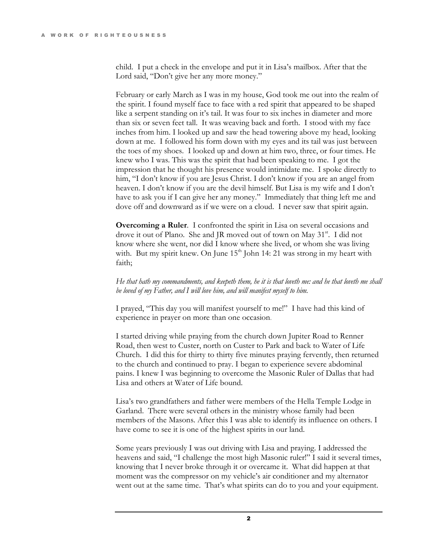child. I put a check in the envelope and put it in Lisa's mailbox. After that the Lord said, "Don't give her any more money."

February or early March as I was in my house, God took me out into the realm of the spirit. I found myself face to face with a red spirit that appeared to be shaped like a serpent standing on it's tail. It was four to six inches in diameter and more than six or seven feet tall. It was weaving back and forth. I stood with my face inches from him. I looked up and saw the head towering above my head, looking down at me. I followed his form down with my eyes and its tail was just between the toes of my shoes. I looked up and down at him two, three, or four times. He knew who I was. This was the spirit that had been speaking to me. I got the impression that he thought his presence would intimidate me. I spoke directly to him, "I don't know if you are Jesus Christ. I don't know if you are an angel from heaven. I don't know if you are the devil himself. But Lisa is my wife and I don't have to ask you if I can give her any money." Immediately that thing left me and dove off and downward as if we were on a cloud. I never saw that spirit again.

Overcoming a Ruler. I confronted the spirit in Lisa on several occasions and drove it out of Plano. She and JR moved out of town on May  $31<sup>st</sup>$ . I did not know where she went, nor did I know where she lived, or whom she was living with. But my spirit knew. On June  $15<sup>th</sup>$  John 14: 21 was strong in my heart with faith;

He that hath my commandments, and keepeth them, he it is that loveth me: and he that loveth me shall be loved of my Father, and I will love him, and will manifest myself to him.

I prayed, "This day you will manifest yourself to me!" I have had this kind of experience in prayer on more than one occasion.

I started driving while praying from the church down Jupiter Road to Renner Road, then west to Custer, north on Custer to Park and back to Water of Life Church. I did this for thirty to thirty five minutes praying fervently, then returned to the church and continued to pray. I began to experience severe abdominal pains. I knew I was beginning to overcome the Masonic Ruler of Dallas that had Lisa and others at Water of Life bound.

Lisa's two grandfathers and father were members of the Hella Temple Lodge in Garland. There were several others in the ministry whose family had been members of the Masons. After this I was able to identify its influence on others. I have come to see it is one of the highest spirits in our land.

Some years previously I was out driving with Lisa and praying. I addressed the heavens and said, "I challenge the most high Masonic ruler!" I said it several times, knowing that I never broke through it or overcame it. What did happen at that moment was the compressor on my vehicle's air conditioner and my alternator went out at the same time. That's what spirits can do to you and your equipment.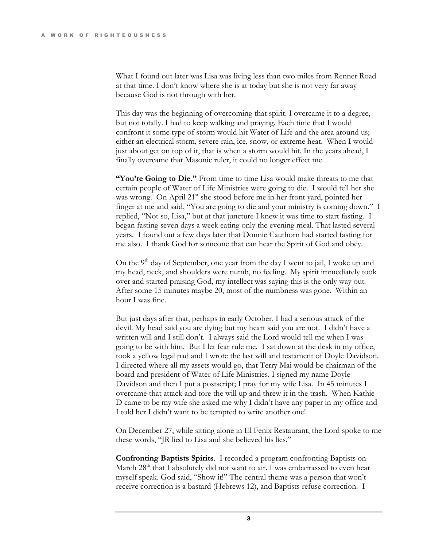What I found out later was Lisa was living less than two miles from Renner Road at that time. I don't know where she is at today but she is not very far away because God is not through with her.

This day was the beginning of overcoming that spirit. I overcame it to a degree, but not totally. I had to keep walking and praying. Each time that I would confront it some type of storm would hit Water of Life and the area around us; either an electrical storm, severe rain, ice, snow, or extreme heat. When I would just about get on top of it, that is when a storm would hit. In the years ahead, I finally overcame that Masonic ruler, it could no longer effect me.

"You're Going to Die." From time to time Lisa would make threats to me that certain people of Water of Life Ministries were going to die. I would tell her she was wrong. On April 21<sup>st</sup> she stood before me in her front yard, pointed her finger at me and said, "You are going to die and your ministry is coming down." I replied, "Not so, Lisa," but at that juncture I knew it was time to start fasting. I began fasting seven days a week eating only the evening meal. That lasted several years. I found out a few days later that Donnie Cauthorn had started fasting for me also. I thank God for someone that can hear the Spirit of God and obey.

On the 9<sup>th</sup> day of September, one year from the day I went to jail, I woke up and my head, neck, and shoulders were numb, no feeling. My spirit immediately took over and started praising God, my intellect was saying this is the only way out. After some 15 minutes maybe 20, most of the numbness was gone. Within an hour I was fine.

But just days after that, perhaps in early October, I had a serious attack of the devil. My head said you are dying but my heart said you are not. I didn't have a written will and I still don't. I always said the Lord would tell me when I was going to be with him. But I let fear rule me. I sat down at the desk in my office, took a yellow legal pad and I wrote the last will and testament of Doyle Davidson. I directed where all my assets would go, that Terry Mai would be chairman of the board and president of Water of Life Ministries. I signed my name Doyle Davidson and then I put a postscript; I pray for my wife Lisa. In 45 minutes I overcame that attack and tore the will up and threw it in the trash. When Kathie D came to be my wife she asked me why I didn't have any paper in my office and I told her I didn't want to be tempted to write another one!

On December 27, while sitting alone in El Fenix Restaurant, the Lord spoke to me these words, "JR lied to Lisa and she believed his lies."

Confronting Baptists Spirits. I recorded a program confronting Baptists on March 28<sup>th</sup> that I absolutely did not want to air. I was embarrassed to even hear myself speak. God said, "Show it!" The central theme was a person that won't receive correction is a bastard (Hebrews 12), and Baptists refuse correction. I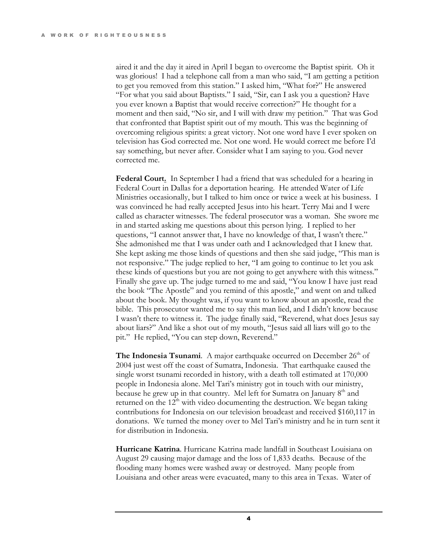aired it and the day it aired in April I began to overcome the Baptist spirit. Oh it was glorious! I had a telephone call from a man who said, "I am getting a petition to get you removed from this station." I asked him, "What for?" He answered "For what you said about Baptists." I said, "Sir, can I ask you a question? Have you ever known a Baptist that would receive correction?" He thought for a moment and then said, "No sir, and I will with draw my petition." That was God that confronted that Baptist spirit out of my mouth. This was the beginning of overcoming religious spirits: a great victory. Not one word have I ever spoken on television has God corrected me. Not one word. He would correct me before I'd say something, but never after. Consider what I am saying to you. God never corrected me.

Federal Court. In September I had a friend that was scheduled for a hearing in Federal Court in Dallas for a deportation hearing. He attended Water of Life Ministries occasionally, but I talked to him once or twice a week at his business. I was convinced he had really accepted Jesus into his heart. Terry Mai and I were called as character witnesses. The federal prosecutor was a woman. She swore me in and started asking me questions about this person lying. I replied to her questions, "I cannot answer that, I have no knowledge of that, I wasn't there." She admonished me that I was under oath and I acknowledged that I knew that. She kept asking me those kinds of questions and then she said judge, "This man is not responsive." The judge replied to her, "I am going to continue to let you ask these kinds of questions but you are not going to get anywhere with this witness." Finally she gave up. The judge turned to me and said, "You know I have just read the book "The Apostle" and you remind of this apostle," and went on and talked about the book. My thought was, if you want to know about an apostle, read the bible. This prosecutor wanted me to say this man lied, and I didn't know because I wasn't there to witness it. The judge finally said, "Reverend, what does Jesus say about liars?" And like a shot out of my mouth, "Jesus said all liars will go to the pit." He replied, "You can step down, Reverend."

**The Indonesia Tsunami.** A major earthquake occurred on December  $26<sup>th</sup>$  of 2004 just west off the coast of Sumatra, Indonesia. That earthquake caused the single worst tsunami recorded in history, with a death toll estimated at 170,000 people in Indonesia alone. Mel Tari's ministry got in touch with our ministry, because he grew up in that country. Mel left for Sumatra on January  $8<sup>th</sup>$  and returned on the  $12<sup>th</sup>$  with video documenting the destruction. We began taking contributions for Indonesia on our television broadcast and received \$160,117 in donations. We turned the money over to Mel Tari's ministry and he in turn sent it for distribution in Indonesia.

Hurricane Katrina. Hurricane Katrina made landfall in Southeast Louisiana on August 29 causing major damage and the loss of 1,833 deaths. Because of the flooding many homes were washed away or destroyed. Many people from Louisiana and other areas were evacuated, many to this area in Texas. Water of